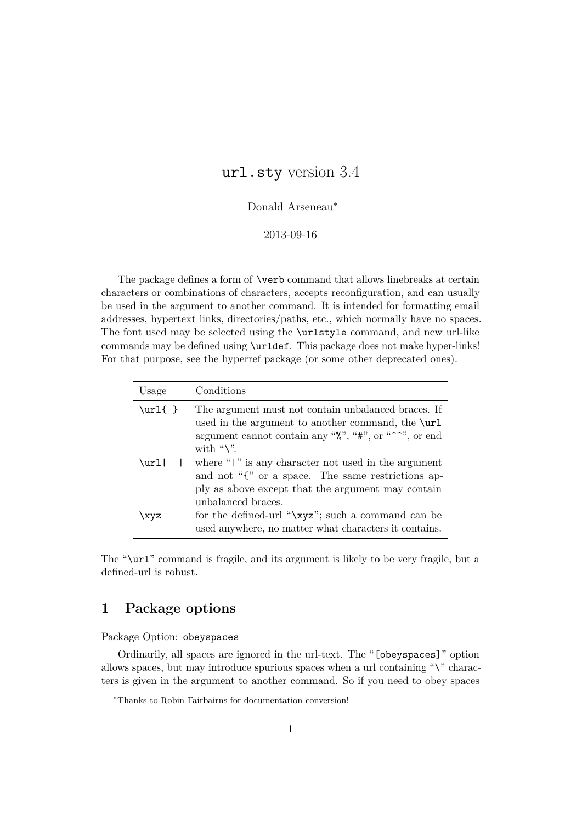# url.sty version 3.4

### Donald Arseneau<sup>∗</sup>

#### 2013-09-16

The package defines a form of \verb command that allows linebreaks at certain characters or combinations of characters, accepts reconfiguration, and can usually be used in the argument to another command. It is intended for formatting email addresses, hypertext links, directories/paths, etc., which normally have no spaces. The font used may be selected using the \urlstyle command, and new url-like commands may be defined using \urldef. This package does not make hyper-links! For that purpose, see the hyperref package (or some other deprecated ones).

| Usage    | Conditions                                                                                                                                                                                                                        |
|----------|-----------------------------------------------------------------------------------------------------------------------------------------------------------------------------------------------------------------------------------|
| $\url$ } | The argument must not contain unbalanced braces. If<br>used in the argument to another command, the $\url$<br>argument cannot contain any " $\mathcal{C}$ ", "#", or " <sup><math>\sim</math></sup> ", or end<br>with " $\vee$ ". |
| $\url$   | where " $\vert$ " is any character not used in the argument<br>and not "{" or a space. The same restrictions ap-<br>ply as above except that the argument may contain<br>unbalanced braces.                                       |
| \xyz     | for the defined-url "\xyz"; such a command can be<br>used anywhere, no matter what characters it contains.                                                                                                                        |

The "\url" command is fragile, and its argument is likely to be very fragile, but a defined-url is robust.

# **1 Package options**

Package Option: obeyspaces

Ordinarily, all spaces are ignored in the url-text. The "[obeyspaces]" option allows spaces, but may introduce spurious spaces when a url containing " $\Upsilon$ " characters is given in the argument to another command. So if you need to obey spaces

<sup>∗</sup>Thanks to Robin Fairbairns for documentation conversion!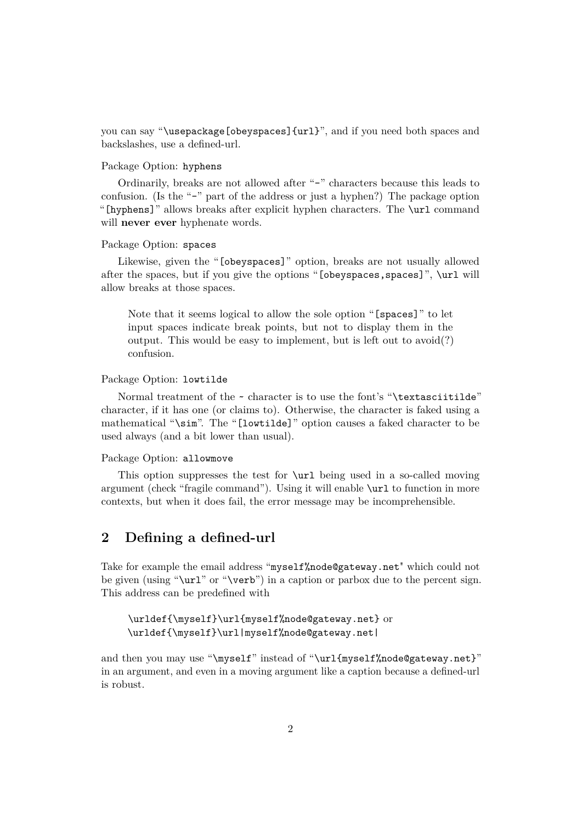you can say "\usepackage[obeyspaces]{url}", and if you need both spaces and backslashes, use a defined-url.

### Package Option: hyphens

Ordinarily, breaks are not allowed after "-" characters because this leads to confusion. (Is the "-" part of the address or just a hyphen?) The package option "[hyphens]" allows breaks after explicit hyphen characters. The \url command will **never ever** hyphenate words.

#### Package Option: spaces

Likewise, given the "[obeyspaces]" option, breaks are not usually allowed after the spaces, but if you give the options "[obeyspaces, spaces]", \url will allow breaks at those spaces.

Note that it seems logical to allow the sole option "[spaces]" to let input spaces indicate break points, but not to display them in the output. This would be easy to implement, but is left out to avoid(?) confusion.

#### Package Option: lowtilde

Normal treatment of the  $\sim$  character is to use the font's "\textasciitilde" character, if it has one (or claims to). Otherwise, the character is faked using a mathematical "\sim". The "[lowtilde]" option causes a faked character to be used always (and a bit lower than usual).

### Package Option: allowmove

This option suppresses the test for \url being used in a so-called moving argument (check "fragile command"). Using it will enable \url to function in more contexts, but when it does fail, the error message may be incomprehensible.

# **2 Defining a defined-url**

Take for example the email address "myself%node@gateway.net" which could not be given (using "\url" or "\verb") in a caption or parbox due to the percent sign. This address can be predefined with

```
\urldef{\myself}\url{myself%node@gateway.net} or
\urldef{\myself}\url|myself%node@gateway.net|
```
and then you may use "\myself" instead of "\url{myself%node@gateway.net}" in an argument, and even in a moving argument like a caption because a defined-url is robust.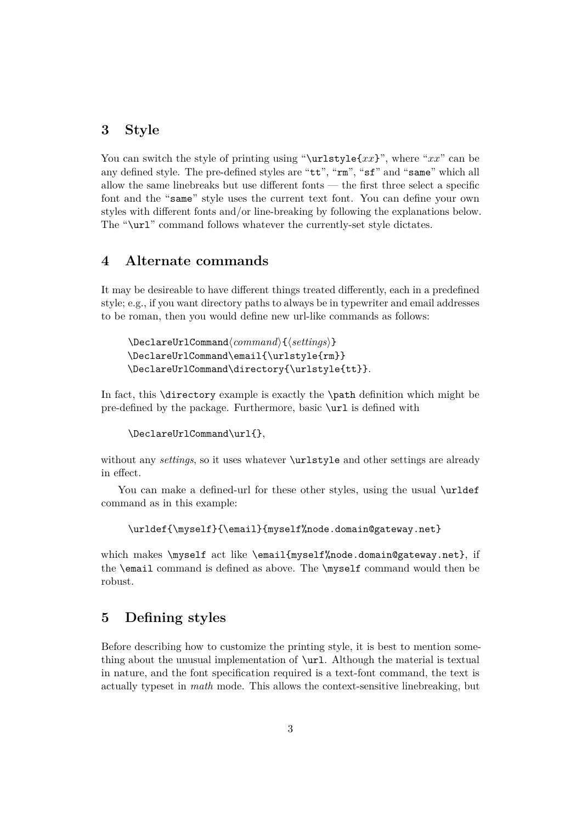# **3 Style**

You can switch the style of printing using "\urlstyle{*xx*}", where "*xx*" can be any defined style. The pre-defined styles are "tt", "rm", "sf" and "same" which all allow the same linebreaks but use different fonts — the first three select a specific font and the "same" style uses the current text font. You can define your own styles with different fonts and/or line-breaking by following the explanations below. The "\url" command follows whatever the currently-set style dictates.

### **4 Alternate commands**

It may be desireable to have different things treated differently, each in a predefined style; e.g., if you want directory paths to always be in typewriter and email addresses to be roman, then you would define new url-like commands as follows:

```
\DeclareUrlCommand\command\{\settings}}
\DeclareUrlCommand\email{\urlstyle{rm}}
\DeclareUrlCommand\directory{\urlstyle{tt}}.
```
In fact, this \directory example is exactly the \path definition which might be pre-defined by the package. Furthermore, basic \url is defined with

```
\DeclareUrlCommand\url{},
```
without any *settings*, so it uses whatever **\urlstyle** and other settings are already in effect.

You can make a defined-url for these other styles, using the usual **\urldef** command as in this example:

\urldef{\myself}{\email}{myself%node.domain@gateway.net}

which makes \myself act like \email{myself%node.domain@gateway.net}, if the \email command is defined as above. The \myself command would then be robust.

# **5 Defining styles**

Before describing how to customize the printing style, it is best to mention something about the unusual implementation of \url. Although the material is textual in nature, and the font specification required is a text-font command, the text is actually typeset in *math* mode. This allows the context-sensitive linebreaking, but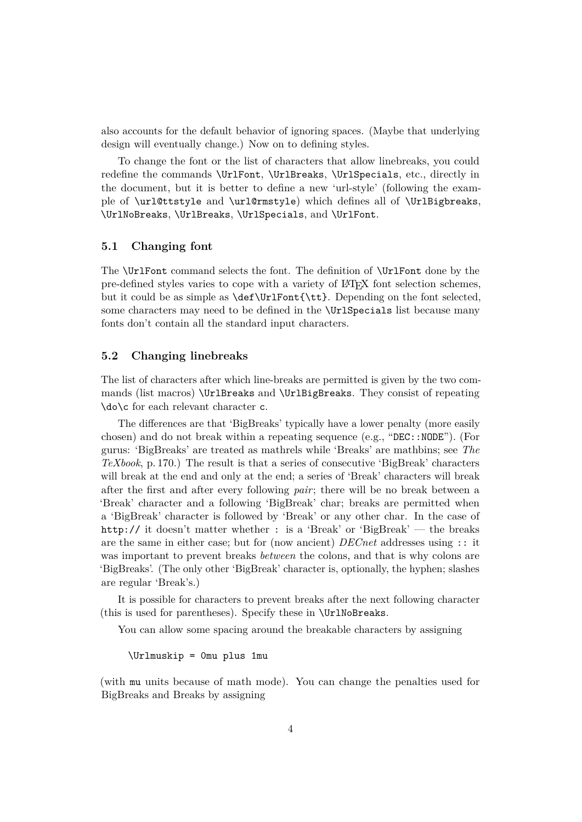also accounts for the default behavior of ignoring spaces. (Maybe that underlying design will eventually change.) Now on to defining styles.

To change the font or the list of characters that allow linebreaks, you could redefine the commands \UrlFont, \UrlBreaks, \UrlSpecials, etc., directly in the document, but it is better to define a new 'url-style' (following the example of \url@ttstyle and \url@rmstyle) which defines all of \UrlBigbreaks, \UrlNoBreaks, \UrlBreaks, \UrlSpecials, and \UrlFont.

### **5.1 Changing font**

The \UrlFont command selects the font. The definition of \UrlFont done by the pre-defined styles varies to cope with a variety of LATEX font selection schemes, but it could be as simple as \def\UrlFont{\tt}. Depending on the font selected, some characters may need to be defined in the **\UrlSpecials** list because many fonts don't contain all the standard input characters.

#### **5.2 Changing linebreaks**

The list of characters after which line-breaks are permitted is given by the two commands (list macros) \UrlBreaks and \UrlBigBreaks. They consist of repeating \do\c for each relevant character c.

The differences are that 'BigBreaks' typically have a lower penalty (more easily chosen) and do not break within a repeating sequence (e.g., "DEC::NODE"). (For gurus: 'BigBreaks' are treated as mathrels while 'Breaks' are mathbins; see *The TeXbook*, p. 170.) The result is that a series of consecutive 'BigBreak' characters will break at the end and only at the end; a series of 'Break' characters will break after the first and after every following *pair*; there will be no break between a 'Break' character and a following 'BigBreak' char; breaks are permitted when a 'BigBreak' character is followed by 'Break' or any other char. In the case of http:// it doesn't matter whether : is a 'Break' or 'BigBreak' — the breaks are the same in either case; but for (now ancient) *DECnet* addresses using :: it was important to prevent breaks *between* the colons, and that is why colons are 'BigBreaks'. (The only other 'BigBreak' character is, optionally, the hyphen; slashes are regular 'Break's.)

It is possible for characters to prevent breaks after the next following character (this is used for parentheses). Specify these in \UrlNoBreaks.

You can allow some spacing around the breakable characters by assigning

\Urlmuskip = 0mu plus 1mu

(with mu units because of math mode). You can change the penalties used for BigBreaks and Breaks by assigning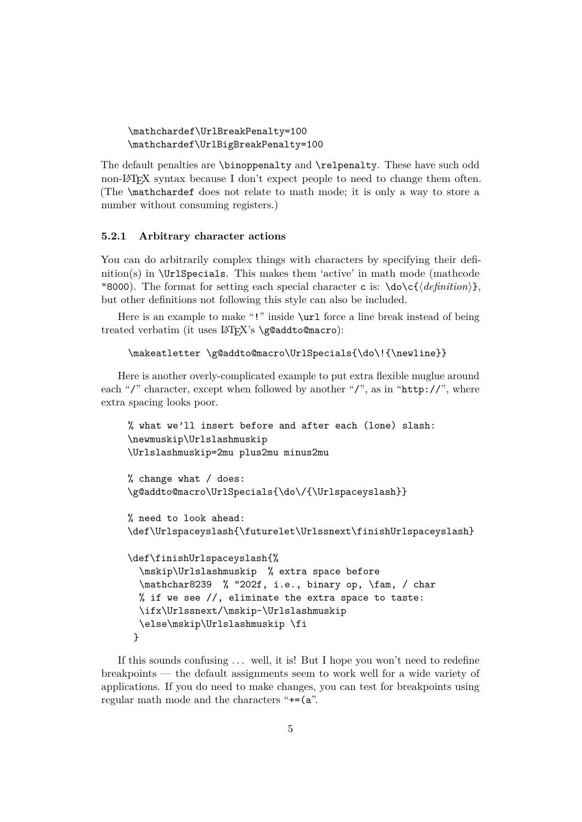```
\mathchardef\UrlBreakPenalty=100
\mathchardef\UrlBigBreakPenalty=100
```
The default penalties are \binoppenalty and \relpenalty. These have such odd non-LATEX syntax because I don't expect people to need to change them often. (The \mathchardef does not relate to math mode; it is only a way to store a number without consuming registers.)

#### **5.2.1 Arbitrary character actions**

You can do arbitrarily complex things with characters by specifying their definition(s) in  $\Upsilon$ **Specials.** This makes them 'active' in math mode (mathcode "8000). The format for setting each special character c is:  $\dot{\alpha}$  \do\c{\*definition*}, but other definitions not following this style can also be included.

Here is an example to make "!" inside  $\url$  force a line break instead of being treated verbatim (it uses LAT<sub>EX</sub>'s \g@addto@macro):

```
\makeatletter \g@addto@macro\UrlSpecials{\do\!{\newline}}
```
Here is another overly-complicated example to put extra flexible muglue around each "/" character, except when followed by another "/", as in "http://", where extra spacing looks poor.

```
% what we'll insert before and after each (lone) slash:
\newmuskip\Urlslashmuskip
\Urlslashmuskip=2mu plus2mu minus2mu
% change what / does:
\g@addto@macro\UrlSpecials{\do\/{\Urlspaceyslash}}
% need to look ahead:
\def\Urlspaceyslash{\futurelet\Urlssnext\finishUrlspaceyslash}
\def\finishUrlspaceyslash{%
  \mskip\Urlslashmuskip % extra space before
  \mathchar8239 % "202f, i.e., binary op, \fam, / char
 % if we see //, eliminate the extra space to taste:
  \ifx\Urlssnext/\mskip-\Urlslashmuskip
  \else\mskip\Urlslashmuskip \fi
 }
```
If this sounds confusing . . . well, it is! But I hope you won't need to redefine breakpoints — the default assignments seem to work well for a wide variety of applications. If you do need to make changes, you can test for breakpoints using regular math mode and the characters "+=(a".